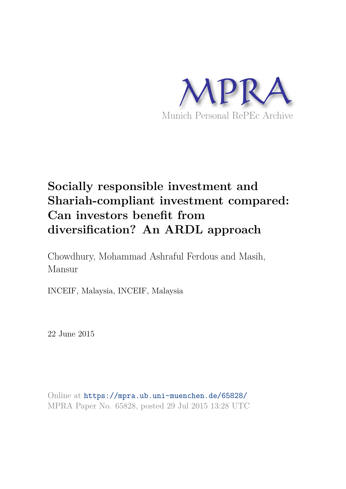

# **Socially responsible investment and Shariah-compliant investment compared: Can investors benefit from diversification? An ARDL approach**

Chowdhury, Mohammad Ashraful Ferdous and Masih, Mansur

INCEIF, Malaysia, INCEIF, Malaysia

22 June 2015

Online at https://mpra.ub.uni-muenchen.de/65828/ MPRA Paper No. 65828, posted 29 Jul 2015 13:28 UTC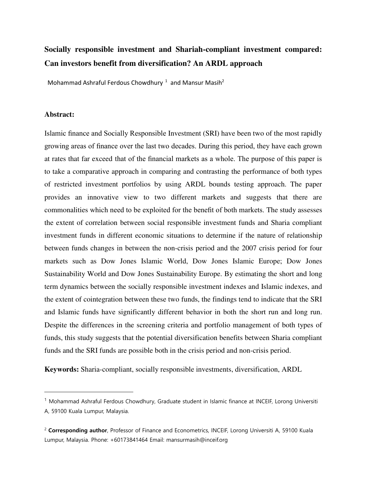# **Socially responsible investment and Shariah-compliant investment compared: Can investors benefit from diversification? An ARDL approach**

Mohammad Ashraful Ferdous Chowdhury<sup>1</sup> and Mansur Masih<sup>2</sup>

#### **Abstract:**

 $\overline{a}$ 

Islamic finance and Socially Responsible Investment (SRI) have been two of the most rapidly growing areas of finance over the last two decades. During this period, they have each grown at rates that far exceed that of the financial markets as a whole. The purpose of this paper is to take a comparative approach in comparing and contrasting the performance of both types of restricted investment portfolios by using ARDL bounds testing approach. The paper provides an innovative view to two different markets and suggests that there are commonalities which need to be exploited for the benefit of both markets. The study assesses the extent of correlation between social responsible investment funds and Sharia compliant investment funds in different economic situations to determine if the nature of relationship between funds changes in between the non-crisis period and the 2007 crisis period for four markets such as Dow Jones Islamic World, Dow Jones Islamic Europe; Dow Jones Sustainability World and Dow Jones Sustainability Europe. By estimating the short and long term dynamics between the socially responsible investment indexes and Islamic indexes, and the extent of cointegration between these two funds, the findings tend to indicate that the SRI and Islamic funds have significantly different behavior in both the short run and long run. Despite the differences in the screening criteria and portfolio management of both types of funds, this study suggests that the potential diversification benefits between Sharia compliant funds and the SRI funds are possible both in the crisis period and non-crisis period.

**Keywords:** Sharia-compliant, socially responsible investments, diversification, ARDL

<sup>&</sup>lt;sup>1</sup> Mohammad Ashraful Ferdous Chowdhury, Graduate student in Islamic finance at INCEIF, Lorong Universiti A, 59100 Kuala Lumpur, Malaysia.

<sup>2</sup> **Corresponding author**, Professor of Finance and Econometrics, INCEIF, Lorong Universiti A, 59100 Kuala Lumpur, Malaysia. Phone: +60173841464 Email: mansurmasih@inceif.org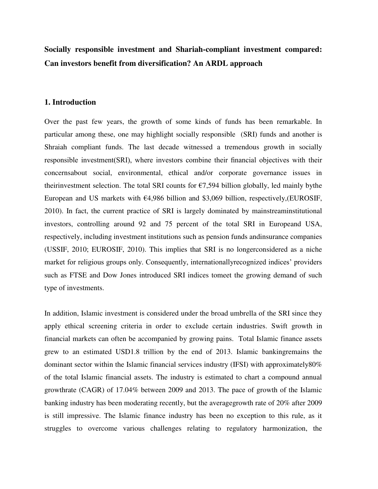**Socially responsible investment and Shariah-compliant investment compared: Can investors benefit from diversification? An ARDL approach** 

#### **1. Introduction**

Over the past few years, the growth of some kinds of funds has been remarkable. In particular among these, one may highlight socially responsible (SRI) funds and another is Shraiah compliant funds. The last decade witnessed a tremendous growth in socially responsible investment(SRI), where investors combine their financial objectives with their concernsabout social, environmental, ethical and/or corporate governance issues in theirinvestment selection. The total SRI counts for  $\epsilon$ 7,594 billion globally, led mainly bythe European and US markets with  $\epsilon$ 4,986 billion and \$3,069 billion, respectively, (EUROSIF, 2010). In fact, the current practice of SRI is largely dominated by mainstreaminstitutional investors, controlling around 92 and 75 percent of the total SRI in Europeand USA, respectively, including investment institutions such as pension funds andinsurance companies (USSIF, 2010; EUROSIF, 2010). This implies that SRI is no longerconsidered as a niche market for religious groups only. Consequently, internationallyrecognized indices' providers such as FTSE and Dow Jones introduced SRI indices tomeet the growing demand of such type of investments.

In addition, Islamic investment is considered under the broad umbrella of the SRI since they apply ethical screening criteria in order to exclude certain industries. Swift growth in financial markets can often be accompanied by growing pains. Total Islamic finance assets grew to an estimated USD1.8 trillion by the end of 2013. Islamic bankingremains the dominant sector within the Islamic financial services industry (IFSI) with approximately80% of the total Islamic financial assets. The industry is estimated to chart a compound annual growthrate (CAGR) of 17.04% between 2009 and 2013. The pace of growth of the Islamic banking industry has been moderating recently, but the averagegrowth rate of 20% after 2009 is still impressive. The Islamic finance industry has been no exception to this rule, as it struggles to overcome various challenges relating to regulatory harmonization, the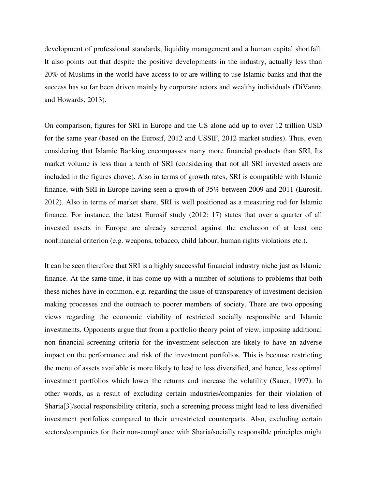development of professional standards, liquidity management and a human capital shortfall. It also points out that despite the positive developments in the industry, actually less than 20% of Muslims in the world have access to or are willing to use Islamic banks and that the success has so far been driven mainly by corporate actors and wealthy individuals (DiVanna and Howards, 2013).

On comparison, figures for SRI in Europe and the US alone add up to over 12 trillion USD for the same year (based on the Eurosif, 2012 and USSIF, 2012 market studies). Thus, even considering that Islamic Banking encompasses many more financial products than SRI, Its market volume is less than a tenth of SRI (considering that not all SRI invested assets are included in the figures above). Also in terms of growth rates, SRI is compatible with Islamic finance, with SRI in Europe having seen a growth of 35% between 2009 and 2011 (Eurosif, 2012). Also in terms of market share, SRI is well positioned as a measuring rod for Islamic finance. For instance, the latest Eurosif study (2012: 17) states that over a quarter of all invested assets in Europe are already screened against the exclusion of at least one nonfinancial criterion (e.g. weapons, tobacco, child labour, human rights violations etc.).

It can be seen therefore that SRI is a highly successful financial industry niche just as Islamic finance. At the same time, it has come up with a number of solutions to problems that both these niches have in common, e.g. regarding the issue of transparency of investment decision making processes and the outreach to poorer members of society. There are two opposing views regarding the economic viability of restricted socially responsible and Islamic investments. Opponents argue that from a portfolio theory point of view, imposing additional non financial screening criteria for the investment selection are likely to have an adverse impact on the performance and risk of the investment portfolios. This is because restricting the menu of assets available is more likely to lead to less diversified, and hence, less optimal investment portfolios which lower the returns and increase the volatility (Sauer, 1997). In other words, as a result of excluding certain industries/companies for their violation of Sharia[3]/social responsibility criteria, such a screening process might lead to less diversified investment portfolios compared to their unrestricted counterparts. Also, excluding certain sectors/companies for their non-compliance with Sharia/socially responsible principles might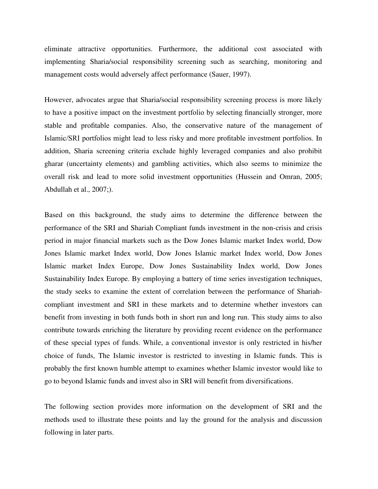eliminate attractive opportunities. Furthermore, the additional cost associated with implementing Sharia/social responsibility screening such as searching, monitoring and management costs would adversely affect performance (Sauer, 1997).

However, advocates argue that Sharia/social responsibility screening process is more likely to have a positive impact on the investment portfolio by selecting financially stronger, more stable and profitable companies. Also, the conservative nature of the management of Islamic/SRI portfolios might lead to less risky and more profitable investment portfolios. In addition, Sharia screening criteria exclude highly leveraged companies and also prohibit gharar (uncertainty elements) and gambling activities, which also seems to minimize the overall risk and lead to more solid investment opportunities (Hussein and Omran, 2005; Abdullah et al., 2007;).

Based on this background, the study aims to determine the difference between the performance of the SRI and Shariah Compliant funds investment in the non-crisis and crisis period in major financial markets such as the Dow Jones Islamic market Index world, Dow Jones Islamic market Index world, Dow Jones Islamic market Index world, Dow Jones Islamic market Index Europe, Dow Jones Sustainability Index world, Dow Jones Sustainability Index Europe. By employing a battery of time series investigation techniques, the study seeks to examine the extent of correlation between the performance of Shariahcompliant investment and SRI in these markets and to determine whether investors can benefit from investing in both funds both in short run and long run. This study aims to also contribute towards enriching the literature by providing recent evidence on the performance of these special types of funds. While, a conventional investor is only restricted in his/her choice of funds, The Islamic investor is restricted to investing in Islamic funds. This is probably the first known humble attempt to examines whether Islamic investor would like to go to beyond Islamic funds and invest also in SRI will benefit from diversifications.

The following section provides more information on the development of SRI and the methods used to illustrate these points and lay the ground for the analysis and discussion following in later parts.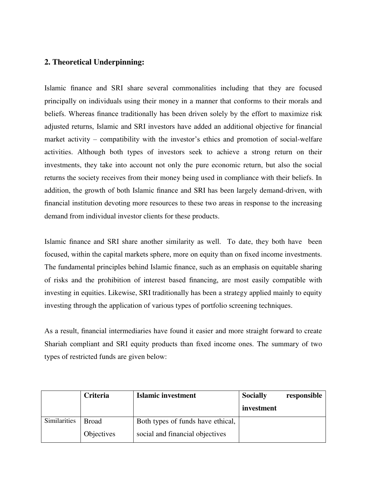# **2. Theoretical Underpinning:**

Islamic finance and SRI share several commonalities including that they are focused principally on individuals using their money in a manner that conforms to their morals and beliefs. Whereas finance traditionally has been driven solely by the effort to maximize risk adjusted returns, Islamic and SRI investors have added an additional objective for financial market activity – compatibility with the investor's ethics and promotion of social-welfare activities. Although both types of investors seek to achieve a strong return on their investments, they take into account not only the pure economic return, but also the social returns the society receives from their money being used in compliance with their beliefs. In addition, the growth of both Islamic finance and SRI has been largely demand-driven, with financial institution devoting more resources to these two areas in response to the increasing demand from individual investor clients for these products.

Islamic finance and SRI share another similarity as well. To date, they both have been focused, within the capital markets sphere, more on equity than on fixed income investments. The fundamental principles behind Islamic finance, such as an emphasis on equitable sharing of risks and the prohibition of interest based financing, are most easily compatible with investing in equities. Likewise, SRI traditionally has been a strategy applied mainly to equity investing through the application of various types of portfolio screening techniques.

As a result, financial intermediaries have found it easier and more straight forward to create Shariah compliant and SRI equity products than fixed income ones. The summary of two types of restricted funds are given below:

|              | Criteria     | <b>Islamic investment</b>         | <b>Socially</b> | responsible |
|--------------|--------------|-----------------------------------|-----------------|-------------|
|              |              |                                   | investment      |             |
| Similarities | <b>Broad</b> | Both types of funds have ethical, |                 |             |
|              | Objectives   | social and financial objectives   |                 |             |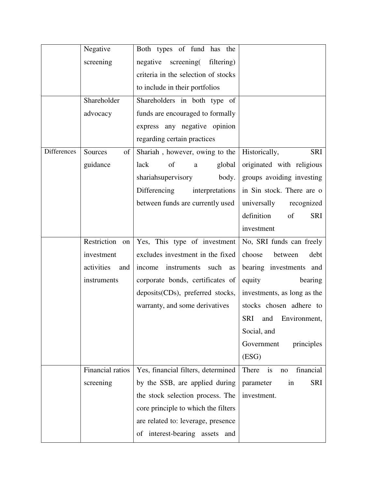|                    | Negative          | Both types of fund has the           |                                |
|--------------------|-------------------|--------------------------------------|--------------------------------|
|                    | screening         | negative<br>screening(<br>filtering) |                                |
|                    |                   | criteria in the selection of stocks  |                                |
|                    |                   | to include in their portfolios       |                                |
|                    | Shareholder       | Shareholders in both type of         |                                |
|                    | advocacy          | funds are encouraged to formally     |                                |
|                    |                   | express any negative opinion         |                                |
|                    |                   | regarding certain practices          |                                |
| <b>Differences</b> | Sources<br>of     | Shariah, however, owing to the       | <b>SRI</b><br>Historically,    |
|                    | guidance          | lack<br>of<br>global<br>a            | originated with religious      |
|                    |                   | shariahsupervisory<br>body.          | groups avoiding investing      |
|                    |                   | Differencing<br>interpretations      | in Sin stock. There are o      |
|                    |                   | between funds are currently used     | universally<br>recognized      |
|                    |                   |                                      | definition<br><b>SRI</b><br>of |
|                    |                   |                                      | investment                     |
|                    | Restriction on    | Yes, This type of investment         | No, SRI funds can freely       |
|                    | investment        | excludes investment in the fixed     | debt<br>choose<br>between      |
|                    | activities<br>and | income<br>instruments<br>such<br>as  | bearing investments and        |
|                    | instruments       | corporate bonds, certificates of     | equity<br>bearing              |
|                    |                   | deposits(CDs), preferred stocks,     | investments, as long as the    |
|                    |                   | warranty, and some derivatives       | stocks chosen adhere to        |
|                    |                   |                                      | SRI and Environment,           |
|                    |                   |                                      | Social, and                    |
|                    |                   |                                      | Government<br>principles       |
|                    |                   |                                      | (ESG)                          |
|                    | Financial ratios  | Yes, financial filters, determined   | financial<br>is<br>There<br>no |
|                    | screening         | by the SSB, are applied during       | <b>SRI</b><br>parameter<br>in  |
|                    |                   | the stock selection process. The     | investment.                    |
|                    |                   | core principle to which the filters  |                                |
|                    |                   | are related to: leverage, presence   |                                |
|                    |                   | of interest-bearing assets and       |                                |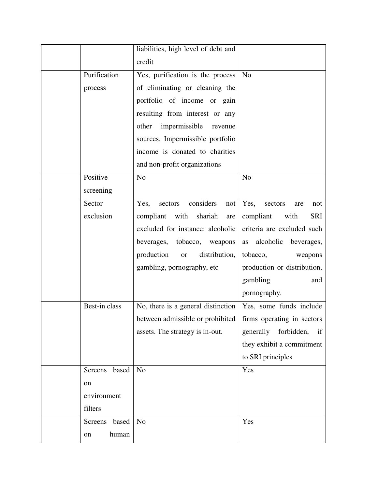|                  | liabilities, high level of debt and                           |                                 |
|------------------|---------------------------------------------------------------|---------------------------------|
|                  | credit                                                        |                                 |
| Purification     | Yes, purification is the process                              | N <sub>o</sub>                  |
| process          | of eliminating or cleaning the                                |                                 |
|                  | portfolio of income or gain                                   |                                 |
|                  | resulting from interest or any                                |                                 |
|                  | impermissible<br>other<br>revenue                             |                                 |
|                  | sources. Impermissible portfolio                              |                                 |
|                  | income is donated to charities                                |                                 |
|                  | and non-profit organizations                                  |                                 |
| Positive         | N <sub>o</sub>                                                | N <sub>o</sub>                  |
| screening        |                                                               |                                 |
| Sector           | considers<br>Yes,<br>sectors<br>not                           | Yes,<br>sectors<br>are<br>not   |
| exclusion        | compliant<br>with<br>shariah<br>are                           | <b>SRI</b><br>compliant<br>with |
|                  | excluded for instance: alcoholic                              | criteria are excluded such      |
|                  | beverages, tobacco, weapons                                   | alcoholic<br>beverages,<br>as   |
|                  | production<br>distribution,<br><b>or</b>                      | tobacco,<br>weapons             |
|                  | gambling, pornography, etc                                    | production or distribution,     |
|                  |                                                               | gambling<br>and                 |
|                  |                                                               | pornography.                    |
| Best-in class    | No, there is a general distinction                            | Yes, some funds include         |
|                  | between admissible or prohibited   firms operating in sectors |                                 |
|                  | assets. The strategy is in-out.                               | generally forbidden,<br>if      |
|                  |                                                               | they exhibit a commitment       |
|                  |                                                               | to SRI principles               |
| based<br>Screens | N <sub>o</sub>                                                | Yes                             |
| on               |                                                               |                                 |
| environment      |                                                               |                                 |
| filters          |                                                               |                                 |
| Screens<br>based | N <sub>o</sub>                                                | Yes                             |
| human<br>on      |                                                               |                                 |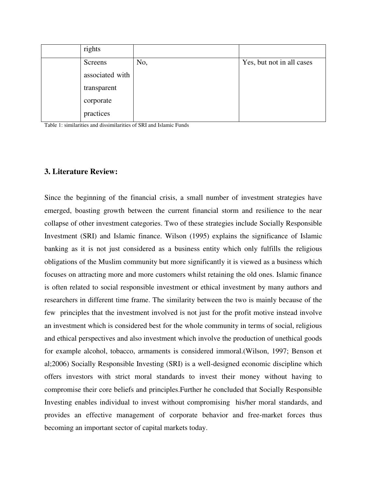| rights          |     |                           |
|-----------------|-----|---------------------------|
| Screens         | No, | Yes, but not in all cases |
| associated with |     |                           |
| transparent     |     |                           |
| corporate       |     |                           |
| practices       |     |                           |
|                 |     |                           |

Table 1: similarities and dissimilarities of SRI and Islamic Funds

# **3. Literature Review:**

Since the beginning of the financial crisis, a small number of investment strategies have emerged, boasting growth between the current financial storm and resilience to the near collapse of other investment categories. Two of these strategies include Socially Responsible Investment (SRI) and Islamic finance. Wilson (1995) explains the significance of Islamic banking as it is not just considered as a business entity which only fulfills the religious obligations of the Muslim community but more significantly it is viewed as a business which focuses on attracting more and more customers whilst retaining the old ones. Islamic finance is often related to social responsible investment or ethical investment by many authors and researchers in different time frame. The similarity between the two is mainly because of the few principles that the investment involved is not just for the profit motive instead involve an investment which is considered best for the whole community in terms of social, religious and ethical perspectives and also investment which involve the production of unethical goods for example alcohol, tobacco, armaments is considered immoral.(Wilson, 1997; Benson et al;2006) Socially Responsible Investing (SRI) is a well-designed economic discipline which offers investors with strict moral standards to invest their money without having to compromise their core beliefs and principles.Further he concluded that Socially Responsible Investing enables individual to invest without compromising his/her moral standards, and provides an effective management of corporate behavior and free-market forces thus becoming an important sector of capital markets today.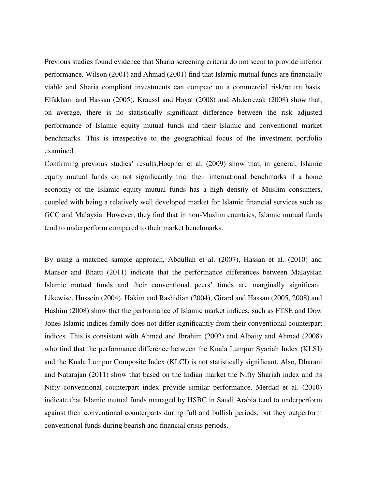Previous studies found evidence that Sharia screening criteria do not seem to provide inferior performance. Wilson (2001) and Ahmad (2001) find that Islamic mutual funds are financially viable and Sharia compliant investments can compete on a commercial risk/return basis. Elfakhani and Hassan (2005), Kraussl and Hayat (2008) and Abderrezak (2008) show that, on average, there is no statistically significant difference between the risk adjusted performance of Islamic equity mutual funds and their Islamic and conventional market benchmarks. This is irrespective to the geographical focus of the investment portfolio examined.

Confirming previous studies' results,Hoepner et al. (2009) show that, in general, Islamic equity mutual funds do not significantly trial their international benchmarks if a home economy of the Islamic equity mutual funds has a high density of Muslim consumers, coupled with being a relatively well developed market for Islamic financial services such as GCC and Malaysia. However, they find that in non-Muslim countries, Islamic mutual funds tend to underperform compared to their market benchmarks.

By using a matched sample approach, Abdullah et al. (2007), Hassan et al. (2010) and Mansor and Bhatti (2011) indicate that the performance differences between Malaysian Islamic mutual funds and their conventional peers' funds are marginally significant. Likewise, Hussein (2004), Hakim and Rashidian (2004), Girard and Hassan (2005, 2008) and Hashim (2008) show that the performance of Islamic market indices, such as FTSE and Dow Jones Islamic indices family does not differ significantly from their conventional counterpart indices. This is consistent with Ahmad and Ibrahim (2002) and Albaity and Ahmad (2008) who find that the performance difference between the Kuala Lumpur Syariah Index (KLSI) and the Kuala Lumpur Composite Index (KLCI) is not statistically significant. Also, Dharani and Natarajan (2011) show that based on the Indian market the Nifty Shariah index and its Nifty conventional counterpart index provide similar performance. Merdad et al. (2010) indicate that Islamic mutual funds managed by HSBC in Saudi Arabia tend to underperform against their conventional counterparts during full and bullish periods, but they outperform conventional funds during bearish and financial crisis periods.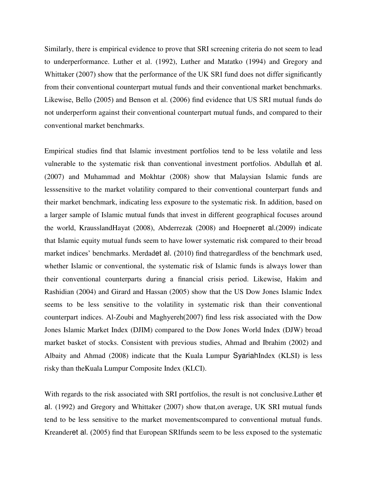Similarly, there is empirical evidence to prove that SRI screening criteria do not seem to lead to underperformance. Luther et al. (1992), Luther and Matatko (1994) and Gregory and Whittaker (2007) show that the performance of the UK SRI fund does not differ significantly from their conventional counterpart mutual funds and their conventional market benchmarks. Likewise, Bello (2005) and Benson et al. (2006) find evidence that US SRI mutual funds do not underperform against their conventional counterpart mutual funds, and compared to their conventional market benchmarks.

Empirical studies find that Islamic investment portfolios tend to be less volatile and less vulnerable to the systematic risk than conventional investment portfolios. Abdullah et al. (2007) and Muhammad and Mokhtar (2008) show that Malaysian Islamic funds are lesssensitive to the market volatility compared to their conventional counterpart funds and their market benchmark, indicating less exposure to the systematic risk. In addition, based on a larger sample of Islamic mutual funds that invest in different geographical focuses around the world, KrausslandHayat (2008), Abderrezak (2008) and Hoepneret al.(2009) indicate that Islamic equity mutual funds seem to have lower systematic risk compared to their broad market indices' benchmarks. Merdadet al. (2010) find thatregardless of the benchmark used, whether Islamic or conventional, the systematic risk of Islamic funds is always lower than their conventional counterparts during a financial crisis period. Likewise, Hakim and Rashidian (2004) and Girard and Hassan (2005) show that the US Dow Jones Islamic Index seems to be less sensitive to the volatility in systematic risk than their conventional counterpart indices. Al-Zoubi and Maghyereh(2007) find less risk associated with the Dow Jones Islamic Market Index (DJIM) compared to the Dow Jones World Index (DJW) broad market basket of stocks. Consistent with previous studies, Ahmad and Ibrahim (2002) and Albaity and Ahmad (2008) indicate that the Kuala Lumpur SyariahIndex (KLSI) is less risky than theKuala Lumpur Composite Index (KLCI).

With regards to the risk associated with SRI portfolios, the result is not conclusive.Luther et al. (1992) and Gregory and Whittaker (2007) show that,on average, UK SRI mutual funds tend to be less sensitive to the market movementscompared to conventional mutual funds. Kreanderet al. (2005) find that European SRIfunds seem to be less exposed to the systematic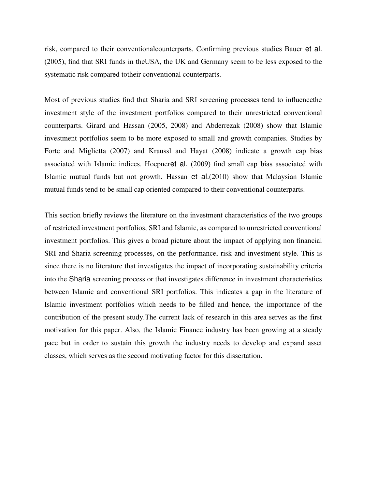risk, compared to their conventionalcounterparts. Confirming previous studies Bauer et al. (2005), find that SRI funds in theUSA, the UK and Germany seem to be less exposed to the systematic risk compared totheir conventional counterparts.

Most of previous studies find that Sharia and SRI screening processes tend to influencethe investment style of the investment portfolios compared to their unrestricted conventional counterparts. Girard and Hassan (2005, 2008) and Abderrezak (2008) show that Islamic investment portfolios seem to be more exposed to small and growth companies. Studies by Forte and Miglietta (2007) and Kraussl and Hayat (2008) indicate a growth cap bias associated with Islamic indices. Hoepneret al. (2009) find small cap bias associated with Islamic mutual funds but not growth. Hassan et al.(2010) show that Malaysian Islamic mutual funds tend to be small cap oriented compared to their conventional counterparts.

This section briefly reviews the literature on the investment characteristics of the two groups of restricted investment portfolios, SRI and Islamic, as compared to unrestricted conventional investment portfolios. This gives a broad picture about the impact of applying non financial SRI and Sharia screening processes, on the performance, risk and investment style. This is since there is no literature that investigates the impact of incorporating sustainability criteria into the Sharia screening process or that investigates difference in investment characteristics between Islamic and conventional SRI portfolios. This indicates a gap in the literature of Islamic investment portfolios which needs to be filled and hence, the importance of the contribution of the present study.The current lack of research in this area serves as the first motivation for this paper. Also, the Islamic Finance industry has been growing at a steady pace but in order to sustain this growth the industry needs to develop and expand asset classes, which serves as the second motivating factor for this dissertation.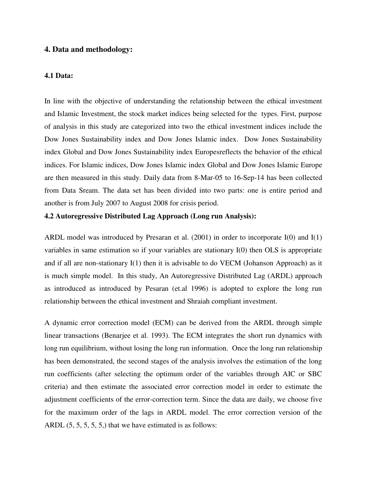# **4. Data and methodology:**

#### **4.1 Data:**

In line with the objective of understanding the relationship between the ethical investment and Islamic Investment, the stock market indices being selected for the types. First, purpose of analysis in this study are categorized into two the ethical investment indices include the Dow Jones Sustainability index and Dow Jones Islamic index. Dow Jones Sustainability index Global and Dow Jones Sustainability index Europesreflects the behavior of the ethical indices. For Islamic indices, Dow Jones Islamic index Global and Dow Jones Islamic Europe are then measured in this study. Daily data from 8-Mar-05 to 16-Sep-14 has been collected from Data Sream. The data set has been divided into two parts: one is entire period and another is from July 2007 to August 2008 for crisis period.

#### **4.2 Autoregressive Distributed Lag Approach (Long run Analysis):**

ARDL model was introduced by [Presaran et al. \(2001\)](http://onlinelibrary.wiley.com/doi/10.1002/jae.616/full) in order to incorporate I(0) and I(1) variables in same estimation so if your variables are stationary I(0) then OLS is appropriate and if all are non-stationary I(1) then it is advisable to do VECM (Johanson Approach) as it is much simple model. In this study, An Autoregressive Distributed Lag (ARDL) approach as introduced as introduced by Pesaran (et.al 1996) is adopted to explore the long run relationship between the ethical investment and Shraiah compliant investment.

A dynamic error correction model (ECM) can be derived from the ARDL through simple linear transactions (Benarjee et al. 1993). The ECM integrates the short run dynamics with long run equilibrium, without losing the long run information. Once the long run relationship has been demonstrated, the second stages of the analysis involves the estimation of the long run coefficients (after selecting the optimum order of the variables through AIC or SBC criteria) and then estimate the associated error correction model in order to estimate the adjustment coefficients of the error-correction term. Since the data are daily, we choose five for the maximum order of the lags in ARDL model. The error correction version of the ARDL  $(5, 5, 5, 5, 5)$  that we have estimated is as follows: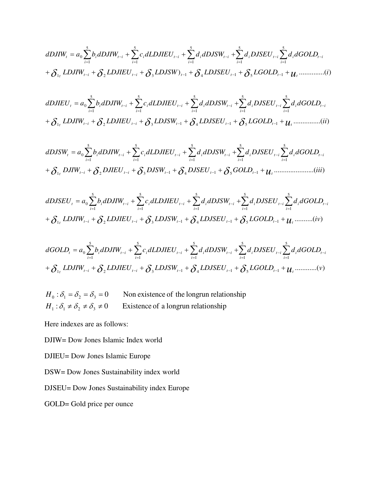$$
dDJIW_{t} = a_{0} \sum_{i=1}^{5} b_{i} dDJIW_{t-i} + \sum_{i=1}^{5} c_{i} dLDJIEU_{t-i} + \sum_{i=1}^{5} d_{i} dDSSW_{t-i} + \sum_{i=1}^{5} d_{i} DJSEU_{t-i} \sum_{i=1}^{5} d_{i} dGOLD_{t-i} + \delta_{1} LDJIW_{t-i} + \delta_{2} LDJIEU_{t-i} + \delta_{3} LDJSW)_{t-1} + \delta_{4} LDJSEU_{t-1} + \delta_{5} LGOLD_{t-1} + u_{t} \dots \dots \dots \dots (i)
$$

$$
dDJIEU_{t} = a_{0} \sum_{i=1}^{5} b_{i} dDJIW_{t-i} + \sum_{i=1}^{5} c_{i} dLDJIEU_{t-i} + \sum_{i=1}^{5} d_{i} dDJSW_{t-i} + \sum_{i=1}^{5} d_{i} DJSEU_{t-i} \sum_{i=1}^{5} d_{i} dGOLD_{t-i} + \delta_{1} LDJIW_{t-i} + \delta_{2} LDJIEU_{t-i} + \delta_{3} LDJSW_{t-1} + \delta_{4} LDJSEU_{t-1} + \delta_{5} LGOLD_{t-1} + u_{t} \dots \dots \dots \dots \dots (ii)
$$

......................( ) 1 2 3 1 4 1 5 1 5 1 5 1 5 1 5 1 5 1 0 *DJIW DJIEU DJSW DJSEU GOLD iii dDJSW a b dDJIW c dLDJIEU d dDJSW d DJSEU d dGOLD ut it it t t t t i i i it i it i i i t i it i it i it* 

$$
dDJSEU_{t} = a_{0} \sum_{i=1}^{5} b_{i} dDJIW_{t-i} + \sum_{i=1}^{5} c_{i} dLDIEEU_{t-i} + \sum_{i=1}^{5} d_{i} dDJSW_{t-i} + \sum_{i=1}^{5} d_{i} DJSEU_{t-i} \sum_{i=1}^{5} d_{i} dGOLD_{t-i}
$$

$$
+ \delta_{1t} LDIIW_{t-i} + \delta_{2} LDIEEU_{t-i} + \delta_{3} LDJSW_{t-1} + \delta_{4} LDJSEU_{t-1} + \delta_{5} LGOLD_{t-1} + u_{t} \dots \dots \dots (iv)
$$

$$
dGOLD_{t} = a_{0} \sum_{i=1}^{5} b_{i} dDJIW_{t-i} + \sum_{i=1}^{5} c_{i} dLDJIEU_{t-i} + \sum_{i=1}^{5} d_{i} dDJSW_{t-i} + \sum_{i=1}^{5} d_{i} DJSEU_{t-i} \sum_{i=1}^{5} d_{i} dGOLD_{t-i} + \delta_{1} LDJIW_{t-i} + \delta_{2} LDJIEU_{t-i} + \delta_{3} LDJSW_{t-1} + \delta_{4} LDJSEU_{t-1} + \delta_{5} LGOLD_{t-1} + u_{t} \dots \dots \dots \dots (v)
$$

Existence of a longrun relationship Non existence of the longrun relationship  $H_1: \delta_1 \neq \delta_2 \neq \delta_3 \neq$  $H_0: \delta_1 = \delta_2 = \delta_3 =$ 

Here indexes are as follows:

DJIW= Dow Jones Islamic Index world

DJIEU= Dow Jones Islamic Europe

DSW= Dow Jones Sustainability index world

DJSEU= Dow Jones Sustainability index Europe

GOLD= Gold price per ounce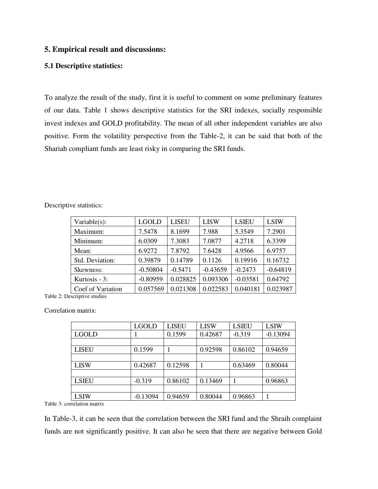# **5. Empirical result and discussions:**

#### **5.1 Descriptive statistics:**

To analyze the result of the study, first it is useful to comment on some preliminary features of our data. Table 1 shows descriptive statistics for the SRI indexes, socially responsible invest indexes and GOLD profitability. The mean of all other independent variables are also positive. Form the volatility perspective from the Table-2, it can be said that both of the Shariah compliant funds are least risky in comparing the SRI funds.

| Variable $(s)$ :             | <b>LGOLD</b> | <b>LISEU</b> | <b>LISW</b> | <b>LSIEU</b> | <b>LSIW</b> |
|------------------------------|--------------|--------------|-------------|--------------|-------------|
| Maximum:                     | 7.5478       | 8.1699       | 7.988       | 5.3549       | 7.2901      |
| Minimum:                     | 6.0309       | 7.3083       | 7.0877      | 4.2718       | 6.3399      |
| Mean:                        | 6.9272       | 7.8792       | 7.6428      | 4.9566       | 6.9757      |
| Std. Deviation:              | 0.39879      | 0.14789      | 0.1126      | 0.19916      | 0.16732     |
| Skewness:                    | $-0.50804$   | $-0.5471$    | $-0.43659$  | $-0.2473$    | $-0.64819$  |
| Kurtosis $-3$ :              | $-0.80959$   | 0.028825     | 0.093306    | $-0.03581$   | 0.64792     |
| Coef of Variation            | 0.057569     | 0.021308     | 0.022583    | 0.040181     | 0.023987    |
| Table 2: Descriptive studies |              |              |             |              |             |

Descriptive statistics:

Correlation matrix:

|              | <b>LGOLD</b> | <b>LISEU</b> | <b>LISW</b> | <b>LSIEU</b> | <b>LSIW</b> |
|--------------|--------------|--------------|-------------|--------------|-------------|
| LGOLD        |              | 0.1599       | 0.42687     | $-0.319$     | $-0.13094$  |
|              |              |              |             |              |             |
| <b>LISEU</b> | 0.1599       |              | 0.92598     | 0.86102      | 0.94659     |
|              |              |              |             |              |             |
| <b>LISW</b>  | 0.42687      | 0.12598      |             | 0.63469      | 0.80044     |
|              |              |              |             |              |             |
| <b>LSIEU</b> | $-0.319$     | 0.86102      | 0.13469     |              | 0.96863     |
|              |              |              |             |              |             |
| <b>LSIW</b>  | $-0.13094$   | 0.94659      | 0.80044     | 0.96863      |             |

Table 3: correlation matrix

In Table-3, it can be seen that the correlation between the SRI fund and the Shraih complaint funds are not significantly positive. It can also be seen that there are negative between Gold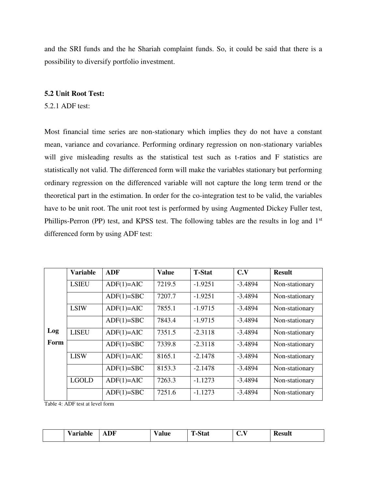and the SRI funds and the he Shariah complaint funds. So, it could be said that there is a possibility to diversify portfolio investment.

#### **5.2 Unit Root Test:**

5.2.1 ADF test:

Most financial time series are non-stationary which implies they do not have a constant mean, variance and covariance. Performing ordinary regression on non-stationary variables will give misleading results as the statistical test such as t-ratios and F statistics are statistically not valid. The differenced form will make the variables stationary but performing ordinary regression on the differenced variable will not capture the long term trend or the theoretical part in the estimation. In order for the co-integration test to be valid, the variables have to be unit root. The unit root test is performed by using Augmented Dickey Fuller test, Phillips-Perron (PP) test, and KPSS test. The following tables are the results in log and 1<sup>st</sup> differenced form by using ADF test:

|      | <b>Variable</b> | <b>ADF</b>   | <b>Value</b> | <b>T-Stat</b> | C.V       | <b>Result</b>  |
|------|-----------------|--------------|--------------|---------------|-----------|----------------|
|      | <b>LSIEU</b>    | $ADF(1)=AIC$ | 7219.5       | $-1.9251$     | $-3.4894$ | Non-stationary |
|      |                 |              |              |               |           |                |
|      |                 | $ADF(1)=SBC$ | 7207.7       | $-1.9251$     | $-3.4894$ | Non-stationary |
|      | <b>LSIW</b>     | $ADF(1)=AIC$ | 7855.1       | $-1.9715$     | $-3.4894$ | Non-stationary |
|      |                 | $ADF(1)=SBC$ | 7843.4       | $-1.9715$     | $-3.4894$ | Non-stationary |
| Log  | <b>LISEU</b>    | $ADF(1)=AIC$ | 7351.5       | $-2.3118$     | $-3.4894$ | Non-stationary |
| Form |                 | $ADF(1)=SBC$ | 7339.8       | $-2.3118$     | $-3.4894$ | Non-stationary |
|      | <b>LISW</b>     | $ADF(1)=AIC$ | 8165.1       | $-2.1478$     | $-3.4894$ | Non-stationary |
|      |                 | $ADF(1)=SBC$ | 8153.3       | $-2.1478$     | $-3.4894$ | Non-stationary |
|      | <b>LGOLD</b>    | $ADF(1)=AIC$ | 7263.3       | $-1.1273$     | $-3.4894$ | Non-stationary |
|      |                 | $ADF(1)=SBC$ | 7251.6       | $-1.1273$     | $-3.4894$ | Non-stationary |

Table 4: ADF test at level form

|  | --<br>-<br>$ -$<br>. | Н<br> | alue | m<br>$\sim$<br>-- | ---<br>-<br>$\ddot{\phantom{0}}$ | וננסס'<br>____ |
|--|----------------------|-------|------|-------------------|----------------------------------|----------------|
|--|----------------------|-------|------|-------------------|----------------------------------|----------------|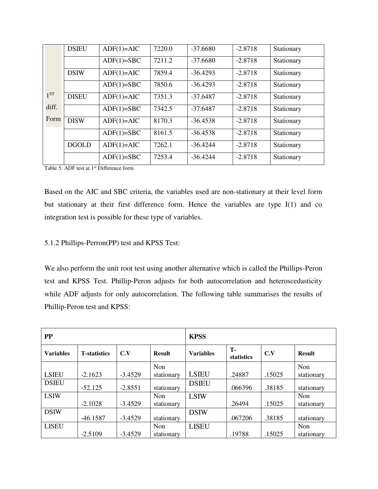|                 | <b>DSIEU</b> | $ADF(1)=AIC$ | 7220.0 | $-37.6680$ | $-2.8718$ | Stationary |
|-----------------|--------------|--------------|--------|------------|-----------|------------|
|                 |              | $ADF(1)=SBC$ | 7211.2 | $-37.6680$ | $-2.8718$ | Stationary |
|                 | <b>DSIW</b>  | $ADF(1)=AIC$ | 7859.4 | $-36.4293$ | $-2.8718$ | Stationary |
|                 |              | $ADF(1)=SBC$ | 7850.6 | $-36.4293$ | $-2.8718$ | Stationary |
| 1 <sup>ST</sup> | <b>DISEU</b> | $ADF(1)=AIC$ | 7351.3 | $-37.6487$ | $-2.8718$ | Stationary |
| diff.           |              | $ADF(1)=SBC$ | 7342.5 | $-37.6487$ | $-2.8718$ | Stationary |
| Form            | <b>DISW</b>  | $ADF(1)=AIC$ | 8170.3 | $-36.4538$ | $-2.8718$ | Stationary |
|                 |              | $ADF(1)=SBC$ | 8161.5 | $-36.4538$ | $-2.8718$ | Stationary |
|                 | <b>DGOLD</b> | $ADF(1)=AIC$ | 7262.1 | $-36.4244$ | $-2.8718$ | Stationary |
|                 |              | $ADF(1)=SBC$ | 7253.4 | $-36.4244$ | $-2.8718$ | Stationary |

Table 5: ADF test at 1<sup>st</sup> Difference form

Based on the AIC and SBC criteria, the variables used are non-stationary at their level form but stationary at their first difference form. Hence the variables are type I(1) and co integration test is possible for these type of variables.

# 5.1.2 Phillips-Perron(PP) test and KPSS Test:

We also perform the unit root test using another alternative which is called the Phillips-Peron test and KPSS Test. Phillip-Peron adjusts for both autocorrelation and heteroscedasticity while ADF adjusts for only autocorrelation. The following table summarises the results of Phillip-Peron test and KPSS:

| <b>PP</b>        |                      |           | <b>KPSS</b>   |                  |                         |        |               |
|------------------|----------------------|-----------|---------------|------------------|-------------------------|--------|---------------|
| <b>Variables</b> | <b>T</b> -statistics | C.V       | <b>Result</b> | <b>Variables</b> | <b>T-</b><br>statistics | C.V    | <b>Result</b> |
|                  |                      |           | Non           |                  |                         |        | Non           |
| <b>LSIEU</b>     | $-2.1623$            | $-3.4529$ | stationary    | <b>LSIEU</b>     | .24887                  | .15025 | stationary    |
| <b>DSIEU</b>     | $-52.125$            | $-2.8551$ | stationary    | <b>DSIEU</b>     | .066396                 | .38185 | stationary    |
| <b>LSIW</b>      |                      |           | Non           | <b>LSIW</b>      |                         |        | Non           |
|                  | $-2.1028$            | $-3.4529$ | stationary    |                  | .26494                  | .15025 | stationary    |
| <b>DSIW</b>      | $-46.1587$           | $-3.4529$ | stationary    | <b>DSIW</b>      | .067206                 | .38185 | stationary    |
| <b>LISEU</b>     |                      |           | Non           | <b>LISEU</b>     |                         |        | Non           |
|                  | $-2.5109$            | $-3.4529$ | stationary    |                  | .19788                  | .15025 | stationary    |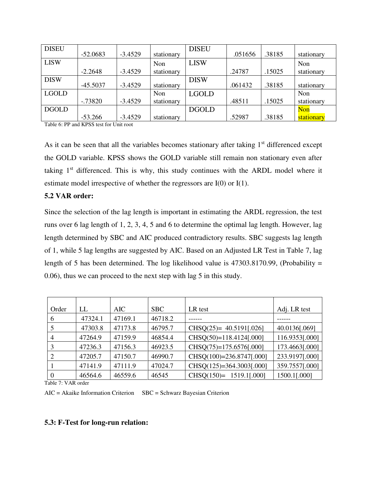| <b>DISEU</b> | $-52.0683$ | $-3.4529$ | stationary | <b>DISEU</b> | .051656 | .38185 | stationary |
|--------------|------------|-----------|------------|--------------|---------|--------|------------|
| <b>LISW</b>  |            |           | Non        | <b>LISW</b>  |         |        | Non        |
|              | $-2.2648$  | $-3.4529$ | stationary |              | .24787  | .15025 | stationary |
| <b>DISW</b>  | $-45.5037$ | $-3.4529$ | stationary | <b>DISW</b>  | .061432 | .38185 | stationary |
| <b>LGOLD</b> |            |           | Non        | <b>LGOLD</b> |         |        | Non        |
|              | $-0.73820$ | $-3.4529$ | stationary |              | .48511  | .15025 | stationary |
| <b>DGOLD</b> |            |           |            | <b>DGOLD</b> |         |        | <b>Non</b> |
|              | $-53.266$  | $-3.4529$ | stationary |              | .52987  | .38185 | stationary |

Table 6: PP and KPSS test for Unit root

As it can be seen that all the variables becomes stationary after taking  $1<sup>st</sup>$  differenced except the GOLD variable. KPSS shows the GOLD variable still remain non stationary even after taking  $1<sup>st</sup>$  differenced. This is why, this study continues with the ARDL model where it estimate model irrespective of whether the regressors are I(0) or I(1).

#### **5.2 VAR order:**

Since the selection of the lag length is important in estimating the ARDL regression, the test runs over 6 lag length of 1, 2, 3, 4, 5 and 6 to determine the optimal lag length. However, lag length determined by SBC and AIC produced contradictory results. SBC suggests lag length of 1, while 5 lag lengths are suggested by AIC. Based on an Adjusted LR Test in Table 7, lag length of 5 has been determined. The log likelihood value is  $47303.8170.99$ , (Probability = 0.06), thus we can proceed to the next step with lag 5 in this study.

| Order          | LL      | AIC.    | <b>SBC</b> | LR test                    | Adj. LR test   |
|----------------|---------|---------|------------|----------------------------|----------------|
| 6              | 47324.1 | 47169.1 | 46718.2    |                            |                |
|                | 47303.8 | 47173.8 | 46795.7    | CHSQ(25)= $40.5191[.026]$  | 40.0136[.069]  |
| $\overline{4}$ | 47264.9 | 47159.9 | 46854.4    | $CHSQ(50)=118.4124[.000]$  | 116.9353[.000] |
|                | 47236.3 | 47156.3 | 46923.5    | $CHSQ(75)=175.6576[.000]$  | 173.4663[.000] |
|                | 47205.7 | 47150.7 | 46990.7    | $CHSQ(100)=236.8747[.000]$ | 233.9197[.000] |
|                | 47141.9 | 47111.9 | 47024.7    | $CHSQ(125)=364.3003[.000]$ | 359.7557[.000] |
|                | 46564.6 | 46559.6 | 46545      | $CHSO(150)= 1519.1[.000]$  | 1500.1[.000]   |

Table 7: VAR order

AIC = Akaike Information Criterion SBC = Schwarz Bayesian Criterion

#### **5.3: F-Test for long-run relation:**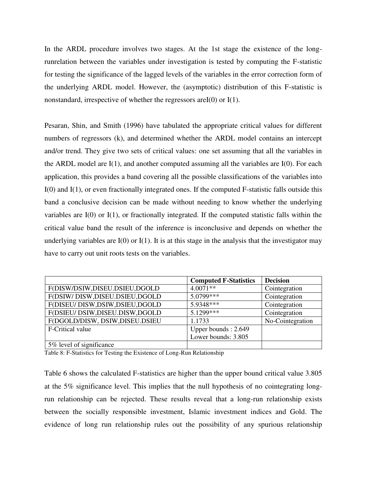In the ARDL procedure involves two stages. At the 1st stage the existence of the longrunrelation between the variables under investigation is tested by computing the F-statistic for testing the significance of the lagged levels of the variables in the error correction form of the underlying ARDL model. However, the (asymptotic) distribution of this F-statistic is nonstandard, irrespective of whether the regressors areI(0) or I(1).

Pesaran, Shin, and Smith (1996) have tabulated the appropriate critical values for different numbers of regressors (k), and determined whether the ARDL model contains an intercept and/or trend. They give two sets of critical values: one set assuming that all the variables in the ARDL model are I(1), and another computed assuming all the variables are I(0). For each application, this provides a band covering all the possible classifications of the variables into I(0) and I(1), or even fractionally integrated ones. If the computed F-statistic falls outside this band a conclusive decision can be made without needing to know whether the underlying variables are I(0) or I(1), or fractionally integrated. If the computed statistic falls within the critical value band the result of the inference is inconclusive and depends on whether the underlying variables are  $I(0)$  or  $I(1)$ . It is at this stage in the analysis that the investigator may have to carry out unit roots tests on the variables.

|                                  | <b>Computed F-Statistics</b> | <b>Decision</b>  |
|----------------------------------|------------------------------|------------------|
| F(DISW/DSIW,DISEU.DSIEU,DGOLD    | $4.0071**$                   | Cointegration    |
| F(DSIW/DISW,DISEU.DSIEU,DGOLD    | $5.0799***$                  | Cointegration    |
| F(DISEU/ DISW,DSIW,DSIEU,DGOLD   | 5.9348***                    | Cointegration    |
| F(DSIEU/ DSIW, DISEU.DISW, DGOLD | 5.1299***                    | Cointegration    |
| F(DGOLD/DISW, DSIW, DISEU.DSIEU  | 1.1733                       | No-Cointegration |
| F-Critical value                 | Upper bounds: 2.649          |                  |
|                                  | Lower bounds: 3.805          |                  |
| 5% level of significance         |                              |                  |

Table 8: F-Statistics for Testing the Existence of Long-Run Relationship

Table 6 shows the calculated F-statistics are higher than the upper bound critical value 3.805 at the 5% significance level. This implies that the null hypothesis of no cointegrating longrun relationship can be rejected. These results reveal that a long-run relationship exists between the socially responsible investment, Islamic investment indices and Gold. The evidence of long run relationship rules out the possibility of any spurious relationship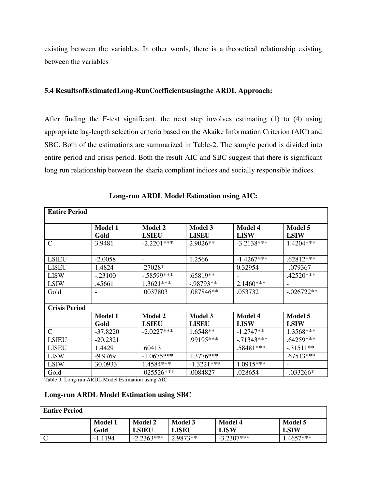existing between the variables. In other words, there is a theoretical relationship existing between the variables

#### **5.4 ResultsofEstimatedLong-RunCoefficientsusingthe ARDL Approach:**

After finding the F-test significant, the next step involves estimating (1) to (4) using appropriate lag-length selection criteria based on the Akaike Information Criterion (AIC) and SBC. Both of the estimations are summarized in Table-2. The sample period is divided into entire period and crisis period. Both the result AIC and SBC suggest that there is significant long run relationship between the sharia compliant indices and socially responsible indices.

| <b>Entire Period</b> |                |                |                |                |               |
|----------------------|----------------|----------------|----------------|----------------|---------------|
|                      |                |                |                |                |               |
|                      | <b>Model 1</b> | <b>Model 2</b> | <b>Model 3</b> | <b>Model 4</b> | Model 5       |
|                      | Gold           | <b>LSIEU</b>   | <b>LISEU</b>   | <b>LISW</b>    | <b>LSIW</b>   |
| $\mathcal{C}$        | 3.9481         | $-2.2201***$   | 2.9026**       | $-3.2138***$   | 1.4204***     |
|                      |                |                |                |                |               |
| <b>LSIEU</b>         | $-2.0058$      |                | 1.2566         | $-1.4267***$   | $.62812***$   |
| <b>LISEU</b>         | 1.4824         | .27028*        |                | 0.32954        | $-.079367$    |
| <b>LISW</b>          | $-.23100$      | $-.58599***$   | .65819**       |                | .42520***     |
| <b>LSIW</b>          | .45661         | $1.3621***$    | $-0.98793**$   | $2.1460***$    |               |
| Gold                 |                | .0037803       | .087846**      | .053732        | $-0.026722**$ |
|                      |                |                |                |                |               |
| <b>Crisis Period</b> |                |                |                |                |               |
|                      | <b>Model 1</b> | <b>Model 2</b> | <b>Model 3</b> | <b>Model 4</b> | Model 5       |
|                      | Gold           | <b>LSIEU</b>   | <b>LISEU</b>   | <b>LISW</b>    | <b>LSIW</b>   |
| $\mathcal{C}$        | $-37.8220$     | $-2.0227***$   | 1.6548**       | $-1.2747**$    | 1.3568***     |
| <b>LSIEU</b>         | $-20.2321$     |                | .99195***      | $-71343***$    | .64259***     |
| <b>LISEU</b>         | 1.4429         | .60413         |                | .58481***      | $-.31511**$   |
| <b>LISW</b>          | $-9.9769$      | $-1.0675***$   | $1.3776***$    |                | $.67513***$   |
| <b>LSIW</b>          | 30.0933        | 1.4584***      | $-1.3221***$   | 1.0915***      |               |
| Gold                 |                | .025526***     | .0084827       | .028654        | $-0.033266*$  |

 **Long-run ARDL Model Estimation using AIC:** 

Table 9: Long-run ARDL Model Estimation using AIC

# **Long-run ARDL Model Estimation using SBC**

| <b>Entire Period</b> |                        |                  |                         |                        |                        |
|----------------------|------------------------|------------------|-------------------------|------------------------|------------------------|
|                      | <b>Model 1</b><br>Gold | Model 2<br>LSIEU | <b>Model 3</b><br>LISEU | <b>Model 4</b><br>LISW | Model 5<br><b>LSIW</b> |
|                      | $-1.1194$              | $-2.2363***$     | $2.9873**$              | $-3.2307***$           | $1.4657***$            |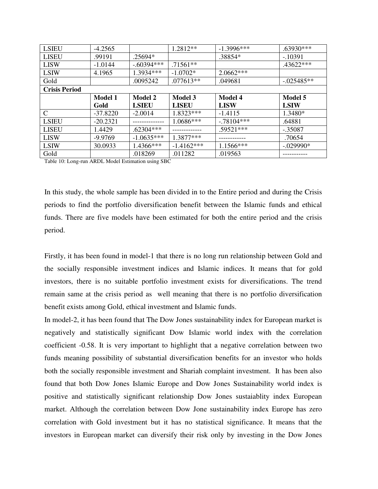| <b>LSIEU</b>         | $-4.2565$      |                | 1.2812**       | $-1.3996***$   | .63930***      |
|----------------------|----------------|----------------|----------------|----------------|----------------|
| <b>LISEU</b>         | .99191         | .25694*        |                | .38854*        | $-10391$       |
| <b>LISW</b>          | $-1.0144$      | $-.60394***$   | $.71561**$     |                | .43622***      |
| <b>LSIW</b>          | 4.1965         | 1.3934 ***     | $-1.0702*$     | $2.0662***$    |                |
| Gold                 |                | .0095242       | .077613**      | .049681        | $-0.025485**$  |
| <b>Crisis Period</b> |                |                |                |                |                |
|                      | <b>Model 1</b> | <b>Model 2</b> | <b>Model 3</b> | <b>Model 4</b> | <b>Model 5</b> |
|                      |                |                |                |                |                |
|                      | Gold           | <b>LSIEU</b>   | <b>LISEU</b>   | <b>LISW</b>    | <b>LSIW</b>    |
| $\mathcal{C}$        | $-37.8220$     | $-2.0014$      | 1.8323***      | $-1.4115$      | 1.3480*        |
| <b>LSIEU</b>         | $-20.2321$     |                | 1.0686***      | $-.78104***$   | .64881         |
| <b>LISEU</b>         | 1.4429         | $.62304***$    |                | $.59521***$    | $-.35087$      |
| <b>LISW</b>          | $-9.9769$      | $-1.0635***$   | 1.3877***      |                | .70654         |
| <b>LSIW</b>          | 30.0933        | 1.4366***      | $-1.4162***$   | 1.1566***      | $-.029990*$    |

Table 10: Long-run ARDL Model Estimation using SBC

In this study, the whole sample has been divided in to the Entire period and during the Crisis periods to find the portfolio diversification benefit between the Islamic funds and ethical funds. There are five models have been estimated for both the entire period and the crisis period.

Firstly, it has been found in model-1 that there is no long run relationship between Gold and the socially responsible investment indices and Islamic indices. It means that for gold investors, there is no suitable portfolio investment exists for diversifications. The trend remain same at the crisis period as well meaning that there is no portfolio diversification benefit exists among Gold, ethical investment and Islamic funds.

In model-2, it has been found that The Dow Jones sustainability index for European market is negatively and statistically significant Dow Islamic world index with the correlation coefficient -0.58. It is very important to highlight that a negative correlation between two funds meaning possibility of substantial diversification benefits for an investor who holds both the socially responsible investment and Shariah complaint investment. It has been also found that both Dow Jones Islamic Europe and Dow Jones Sustainability world index is positive and statistically significant relationship Dow Jones sustaiablity index European market. Although the correlation between Dow Jone sustainability index Europe has zero correlation with Gold investment but it has no statistical significance. It means that the investors in European market can diversify their risk only by investing in the Dow Jones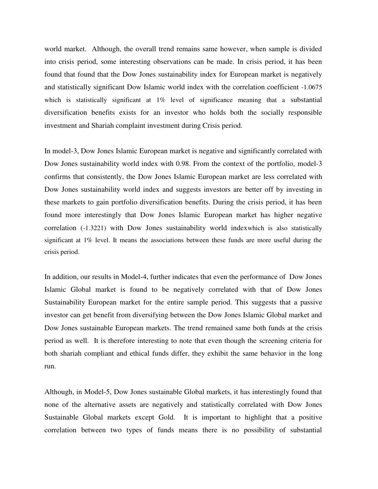world market. Although, the overall trend remains same however, when sample is divided into crisis period, some interesting observations can be made. In crisis period, it has been found that found that the Dow Jones sustainability index for European market is negatively and statistically significant Dow Islamic world index with the correlation coefficient -1.0675 which is statistically significant at 1% level of significance meaning that a substantial diversification benefits exists for an investor who holds both the socially responsible investment and Shariah complaint investment during Crisis period.

In model-3, Dow Jones Islamic European market is negative and significantly correlated with Dow Jones sustainability world index with 0.98. From the context of the portfolio, model-3 confirms that consistently, the Dow Jones Islamic European market are less correlated with Dow Jones sustainability world index and suggests investors are better off by investing in these markets to gain portfolio diversification benefits. During the crisis period, it has been found more interestingly that Dow Jones Islamic European market has higher negative correlation (-1.3221) with Dow Jones sustainability world indexwhich is also statistically significant at 1% level. It means the associations between these funds are more useful during the crisis period.

In addition, our results in Model-4, further indicates that even the performance of Dow Jones Islamic Global market is found to be negatively correlated with that of Dow Jones Sustainability European market for the entire sample period. This suggests that a passive investor can get benefit from diversifying between the Dow Jones Islamic Global market and Dow Jones sustainable European markets. The trend remained same both funds at the crisis period as well. It is therefore interesting to note that even though the screening criteria for both shariah compliant and ethical funds differ, they exhibit the same behavior in the long run.

Although, in Model-5, Dow Jones sustainable Global markets, it has interestingly found that none of the alternative assets are negatively and statistically correlated with Dow Jones Sustainable Global markets except Gold. It is important to highlight that a positive correlation between two types of funds means there is no possibility of substantial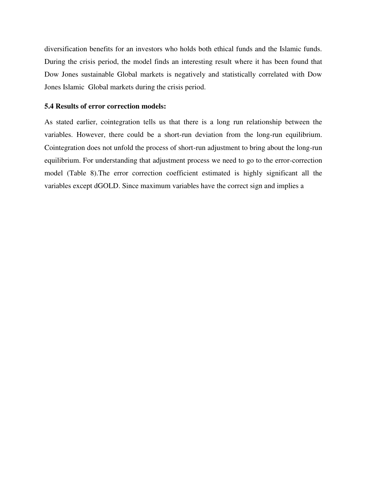diversification benefits for an investors who holds both ethical funds and the Islamic funds. During the crisis period, the model finds an interesting result where it has been found that Dow Jones sustainable Global markets is negatively and statistically correlated with Dow Jones Islamic Global markets during the crisis period.

#### **5.4 Results of error correction models:**

As stated earlier, cointegration tells us that there is a long run relationship between the variables. However, there could be a short-run deviation from the long-run equilibrium. Cointegration does not unfold the process of short-run adjustment to bring about the long-run equilibrium. For understanding that adjustment process we need to go to the error-correction model (Table 8).The error correction coefficient estimated is highly significant all the variables except dGOLD. Since maximum variables have the correct sign and implies a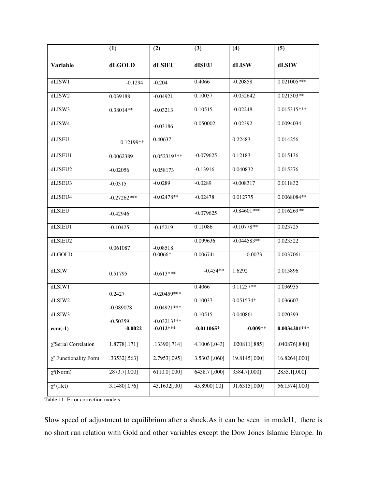|                             | (1)           | (2)            | (3)             | (4)           | (5)            |
|-----------------------------|---------------|----------------|-----------------|---------------|----------------|
| <b>Variable</b>             | dLGOLD        | dLSIEU         | dISEU           | dLISW         | dLSIW          |
| dLISW1                      | $-0.1294$     | $-0.204$       | 0.4066          | $-0.20858$    | $0.021005***$  |
| dLISW2                      | 0.039188      | $-0.04921$     | 0.10037         | $-0.052642$   | $0.021303**$   |
| dLISW3                      | 0.38014**     | $-0.03213$     | 0.10515         | $-0.02248$    | 0.015315***    |
| dLISW4                      |               | $-0.03186$     | 0.050002        | $-0.02392$    | 0.0094034      |
| dLISEU                      | 0.12199**     | 0.40637        |                 | 0.22483       | 0.014256       |
| dLISEU1                     | 0.0062389     | 0.052319***    | $-0.079625$     | 0.12183       | 0.015136       |
| dLISEU2                     | $-0.02056$    | 0.058173       | $-0.13916$      | 0.040832      | 0.015376       |
| dLISEU3                     | $-0.0315$     | $-0.0289$      | $-0.0289$       | $-0.008317$   | 0.011832       |
| dLISEU4                     | $-0.27262***$ | $-0.02478**$   | $-0.02478$      | 0.012775      | 0.0068084**    |
| dLSIEU                      | $-0.42946$    |                | $-0.079625$     | $-0.84601***$ | $0.016269**$   |
| dLSIEU1                     | $-0.10425$    | $-0.15219$     | 0.11086         | $-0.10778**$  | 0.023725       |
| dLSIEU2                     | 0.061087      | $-0.08518$     | 0.099636        | $-0.044583**$ | 0.023522       |
| dLGOLD                      |               | $0.0066*$      | 0.006741        | $-0.0073$     | 0.0037061      |
| dLSIW                       | 0.51795       | $-0.613***$    | $-0.454**$      | 1.6292        | 0.015896       |
| dLSIW1                      | 0.2427        | $-0.20459***$  | 0.4066          | $0.11257**$   | 0.036935       |
| dLSIW2                      | $-0.089078$   | $-0.04921$ *** | 0.10037         | 0.051574*     | 0.036607       |
| dLSIW3                      | $-0.50359$    | $-0.03213***$  | 0.10515         | 0.040861      | 0.020393       |
| $ecm(-1)$                   | $-0.0022$     | $-0.012***$    | $-0.011065*$    | $-0.009**$    | $0.0034201***$ |
| $\chi^2$ Serial Correlation | 1.8778[.171]  | .13390[.714]   | $4.1006$ [.043] | .020811[.885] | .040876[.840]  |
| $\chi^2$ Functionality Form | .33532[.563]  | 2.7953[.095]   | 3.5303 [.060]   | 19.8145[.000] | 16.8264[.000]  |
| $\chi^2(Norm)$              | 2873.7[.000]  | 6110.0[.000]   | 6438.7 [.000]   | 3584.7[.000]  | 2855.1[.000]   |
| $\chi^2$ (Het)              | 3.1480[.076]  | 43.1632[.00]   | 45.8900[.00]    | 91.6315[.000] | 56.1574[.000]  |

Table 11: Error correction models

Slow speed of adjustment to equilibrium after a shock.As it can be seen in model1, there is no short run relation with Gold and other variables except the Dow Jones Islamic Europe. In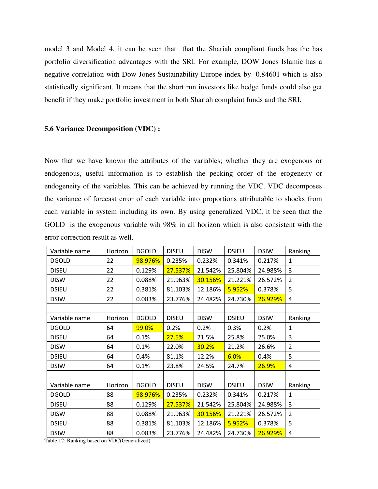model 3 and Model 4, it can be seen that that the Shariah compliant funds has the has portfolio diversification advantages with the SRI. For example, DOW Jones Islamic has a negative correlation with Dow Jones Sustainability Europe index by -0.84601 which is also statistically significant. It means that the short run investors like hedge funds could also get benefit if they make portfolio investment in both Shariah complaint funds and the SRI.

#### **5.6 Variance Decomposition (VDC) :**

Now that we have known the attributes of the variables; whether they are exogenous or endogenous, useful information is to establish the pecking order of the erogeneity or endogeneity of the variables. This can be achieved by running the VDC. VDC decomposes the variance of forecast error of each variable into proportions attributable to shocks from each variable in system including its own. By using generalized VDC, it be seen that the GOLD is the exogenous variable wih 98% in all horizon which is also consistent with the error correction result as well.

| Variable name | Horizon | <b>DGOLD</b> | <b>DISEU</b> | <b>DISW</b> | <b>DSIEU</b> | <b>DSIW</b> | Ranking        |
|---------------|---------|--------------|--------------|-------------|--------------|-------------|----------------|
| <b>DGOLD</b>  | 22      | 98.976%      | 0.235%       | 0.232%      | 0.341%       | 0.217%      | $\mathbf{1}$   |
| <b>DISEU</b>  | 22      | 0.129%       | 27.537%      | 21.542%     | 25.804%      | 24.988%     | 3              |
| <b>DISW</b>   | 22      | 0.088%       | 21.963%      | 30.156%     | 21.221%      | 26.572%     | $\overline{2}$ |
| <b>DSIEU</b>  | 22      | 0.381%       | 81.103%      | 12.186%     | 5.952%       | 0.378%      | 5              |
| <b>DSIW</b>   | 22      | 0.083%       | 23.776%      | 24.482%     | 24.730%      | 26.929%     | 4              |
|               |         |              |              |             |              |             |                |
| Variable name | Horizon | <b>DGOLD</b> | <b>DISEU</b> | <b>DISW</b> | <b>DSIEU</b> | <b>DSIW</b> | Ranking        |
| <b>DGOLD</b>  | 64      | 99.0%        | 0.2%         | 0.2%        | 0.3%         | 0.2%        | $\mathbf{1}$   |
| <b>DISEU</b>  | 64      | 0.1%         | 27.5%        | 21.5%       | 25.8%        | 25.0%       | 3              |
| <b>DISW</b>   | 64      | 0.1%         | 22.0%        | 30.2%       | 21.2%        | 26.6%       | $\overline{2}$ |
| <b>DSIEU</b>  | 64      | 0.4%         | 81.1%        | 12.2%       | 6.0%         | 0.4%        | 5              |
| <b>DSIW</b>   | 64      | 0.1%         | 23.8%        | 24.5%       | 24.7%        | 26.9%       | 4              |
|               |         |              |              |             |              |             |                |
| Variable name | Horizon | <b>DGOLD</b> | <b>DISEU</b> | <b>DISW</b> | <b>DSIEU</b> | <b>DSIW</b> | Ranking        |
| <b>DGOLD</b>  | 88      | 98.976%      | 0.235%       | 0.232%      | 0.341%       | 0.217%      | $\mathbf{1}$   |
| <b>DISEU</b>  | 88      | 0.129%       | 27.537%      | 21.542%     | 25.804%      | 24.988%     | $\overline{3}$ |
| <b>DISW</b>   | 88      | 0.088%       | 21.963%      | 30.156%     | 21.221%      | 26.572%     | $\overline{2}$ |
| <b>DSIEU</b>  | 88      | 0.381%       | 81.103%      | 12.186%     | 5.952%       | 0.378%      | 5              |
| <b>DSIW</b>   | 88      | 0.083%       | 23.776%      | 24.482%     | 24.730%      | 26.929%     | $\overline{4}$ |

Table 12: Ranking based on VDC(Generalized)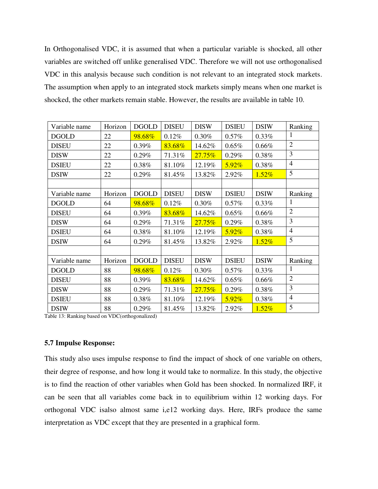In Orthogonalised VDC, it is assumed that when a particular variable is shocked, all other variables are switched off unlike generalised VDC. Therefore we will not use orthogonalised VDC in this analysis because such condition is not relevant to an integrated stock markets. The assumption when apply to an integrated stock markets simply means when one market is shocked, the other markets remain stable. However, the results are available in table 10.

| Variable name | Horizon | <b>DGOLD</b> | <b>DISEU</b> | <b>DISW</b> | <b>DSIEU</b> | <b>DSIW</b> | Ranking        |
|---------------|---------|--------------|--------------|-------------|--------------|-------------|----------------|
| <b>DGOLD</b>  | 22      | 98.68%       | 0.12%        | 0.30%       | 0.57%        | 0.33%       | 1              |
| <b>DISEU</b>  | 22      | 0.39%        | 83.68%       | 14.62%      | 0.65%        | 0.66%       | $\overline{2}$ |
| <b>DISW</b>   | 22      | 0.29%        | 71.31%       | 27.75%      | 0.29%        | 0.38%       | 3              |
| <b>DSIEU</b>  | 22      | 0.38%        | 81.10%       | 12.19%      | 5.92%        | 0.38%       | $\overline{4}$ |
| <b>DSIW</b>   | 22      | 0.29%        | 81.45%       | 13.82%      | 2.92%        | 1.52%       | 5              |
|               |         |              |              |             |              |             |                |
| Variable name | Horizon | <b>DGOLD</b> | <b>DISEU</b> | <b>DISW</b> | <b>DSIEU</b> | <b>DSIW</b> | Ranking        |
| <b>DGOLD</b>  | 64      | 98.68%       | 0.12%        | 0.30%       | 0.57%        | $0.33\%$    | 1              |
| <b>DISEU</b>  | 64      | 0.39%        | 83.68%       | 14.62%      | 0.65%        | 0.66%       | $\overline{2}$ |
| <b>DISW</b>   | 64      | 0.29%        | 71.31%       | 27.75%      | 0.29%        | 0.38%       | 3              |
| <b>DSIEU</b>  | 64      | 0.38%        | 81.10%       | 12.19%      | 5.92%        | 0.38%       | $\overline{4}$ |
| <b>DSIW</b>   | 64      | 0.29%        | 81.45%       | 13.82%      | 2.92%        | $1.52\%$    | 5              |
|               |         |              |              |             |              |             |                |
| Variable name | Horizon | <b>DGOLD</b> | <b>DISEU</b> | <b>DISW</b> | <b>DSIEU</b> | <b>DSIW</b> | Ranking        |
| <b>DGOLD</b>  | 88      | 98.68%       | 0.12%        | 0.30%       | 0.57%        | 0.33%       | 1              |
| <b>DISEU</b>  | 88      | 0.39%        | 83.68%       | 14.62%      | 0.65%        | 0.66%       | $\overline{2}$ |
| <b>DISW</b>   | 88      | 0.29%        | 71.31%       | 27.75%      | 0.29%        | 0.38%       | 3              |
| <b>DSIEU</b>  | 88      | 0.38%        | 81.10%       | 12.19%      | 5.92%        | 0.38%       | $\overline{4}$ |
| <b>DSIW</b>   | 88      | 0.29%        | 81.45%       | 13.82%      | 2.92%        | 1.52%       | 5              |

Table 13: Ranking based on VDC(orthogonalized)

#### **5.7 Impulse Response:**

This study also uses impulse response to find the impact of shock of one variable on others, their degree of response, and how long it would take to normalize. In this study, the objective is to find the reaction of other variables when Gold has been shocked. In normalized IRF, it can be seen that all variables come back in to equilibrium within 12 working days. For orthogonal VDC isalso almost same i,e12 working days. Here, IRFs produce the same interpretation as VDC except that they are presented in a graphical form.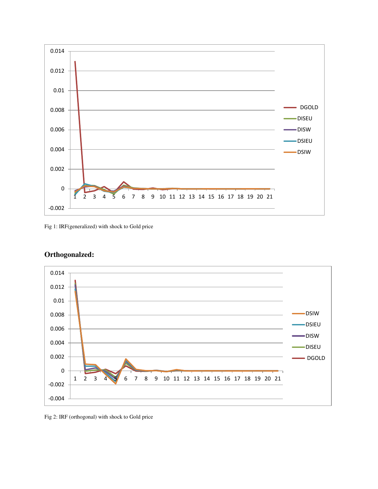

Fig 1: IRF(generalized) with shock to Gold price



# **Orthogonalzed:**

Fig 2: IRF (orthogonal) with shock to Gold price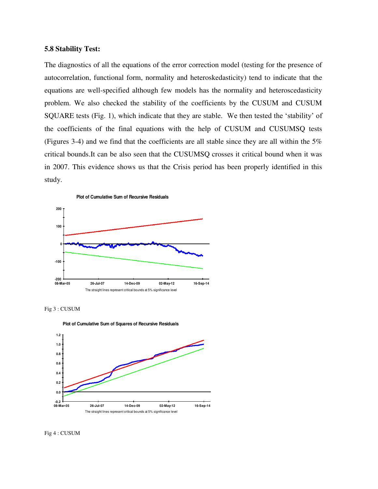#### **5.8 Stability Test:**

The diagnostics of all the equations of the error correction model (testing for the presence of autocorrelation, functional form, normality and heteroskedasticity) tend to indicate that the equations are well-specified although few models has the normality and heteroscedasticity problem. We also checked the stability of the coefficients by the CUSUM and CUSUM SQUARE tests (Fig. 1), which indicate that they are stable. We then tested the 'stability' of the coefficients of the final equations with the help of CUSUM and CUSUMSQ tests (Figures 3-4) and we find that the coefficients are all stable since they are all within the 5% critical bounds.It can be also seen that the CUSUMSQ crosses it critical bound when it was in 2007. This evidence shows us that the Crisis period has been properly identified in this study.









Fig 4 : CUSUM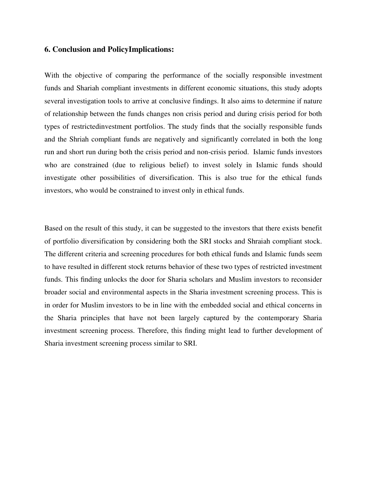### **6. Conclusion and PolicyImplications:**

With the objective of comparing the performance of the socially responsible investment funds and Shariah compliant investments in different economic situations, this study adopts several investigation tools to arrive at conclusive findings. It also aims to determine if nature of relationship between the funds changes non crisis period and during crisis period for both types of restrictedinvestment portfolios. The study finds that the socially responsible funds and the Shriah compliant funds are negatively and significantly correlated in both the long run and short run during both the crisis period and non-crisis period. Islamic funds investors who are constrained (due to religious belief) to invest solely in Islamic funds should investigate other possibilities of diversification. This is also true for the ethical funds investors, who would be constrained to invest only in ethical funds.

Based on the result of this study, it can be suggested to the investors that there exists benefit of portfolio diversification by considering both the SRI stocks and Shraiah compliant stock. The different criteria and screening procedures for both ethical funds and Islamic funds seem to have resulted in different stock returns behavior of these two types of restricted investment funds. This finding unlocks the door for Sharia scholars and Muslim investors to reconsider broader social and environmental aspects in the Sharia investment screening process. This is in order for Muslim investors to be in line with the embedded social and ethical concerns in the Sharia principles that have not been largely captured by the contemporary Sharia investment screening process. Therefore, this finding might lead to further development of Sharia investment screening process similar to SRI.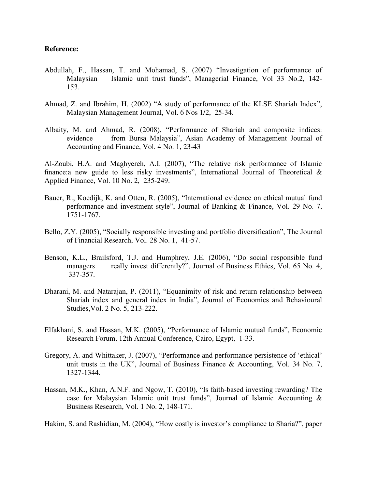#### **Reference:**

- Abdullah, F., Hassan, T. and Mohamad, S. (2007) "Investigation of performance of Malaysian Islamic unit trust funds", Managerial Finance, Vol 33 No.2, 142- 153.
- Ahmad, Z. and Ibrahim, H. (2002) "A study of performance of the KLSE Shariah Index", Malaysian Management Journal, Vol. 6 Nos 1/2, 25-34.
- Albaity, M. and Ahmad, R. (2008), "Performance of Shariah and composite indices: evidence from Bursa Malaysia", Asian Academy of Management Journal of Accounting and Finance, Vol. 4 No. 1, 23-43

Al-Zoubi, H.A. and Maghyereh, A.I. (2007), "The relative risk performance of Islamic finance: a new guide to less risky investments", International Journal of Theoretical  $\&$ Applied Finance, Vol. 10 No. 2, 235-249.

- Bauer, R., Koedijk, K. and Otten, R. (2005), "International evidence on ethical mutual fund performance and investment style", Journal of Banking & Finance, Vol. 29 No. 7, 1751-1767.
- Bello, Z.Y. (2005), "Socially responsible investing and portfolio diversification", The Journal of Financial Research, Vol. 28 No. 1, 41-57.
- Benson, K.L., Brailsford, T.J. and Humphrey, J.E. (2006), "Do social responsible fund managers really invest differently?", Journal of Business Ethics, Vol. 65 No. 4, 337-357.
- Dharani, M. and Natarajan, P. (2011), "Equanimity of risk and return relationship between Shariah index and general index in India", Journal of Economics and Behavioural Studies,Vol. 2 No. 5, 213-222.
- Elfakhani, S. and Hassan, M.K. (2005), "Performance of Islamic mutual funds", Economic Research Forum, 12th Annual Conference, Cairo, Egypt, 1-33.
- Gregory, A. and Whittaker, J. (2007), "Performance and performance persistence of 'ethical' unit trusts in the UK", Journal of Business Finance & Accounting, Vol. 34 No. 7, 1327-1344.
- Hassan, M.K., Khan, A.N.F. and Ngow, T. (2010), "Is faith-based investing rewarding? The case for Malaysian Islamic unit trust funds", Journal of Islamic Accounting & Business Research, Vol. 1 No. 2, 148-171.

Hakim, S. and Rashidian, M. (2004), "How costly is investor's compliance to Sharia?", paper